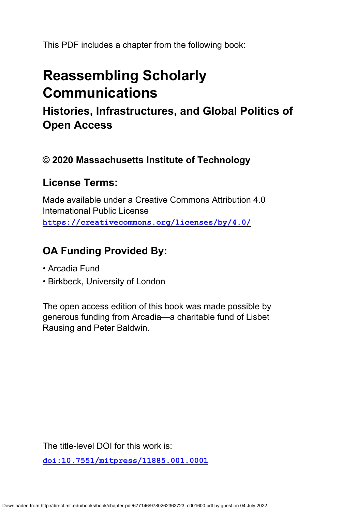This PDF includes a chapter from the following book:

# **Reassembling Scholarly Communications**

**Histories, Infrastructures, and Global Politics of Open Access**

# **© 2020 Massachusetts Institute of Technology**

# **License Terms:**

Made available under a Creative Commons Attribution 4.0 International Public License **<https://creativecommons.org/licenses/by/4.0/>**

# **OA Funding Provided By:**

- Arcadia Fund
- Birkbeck, University of London

The open access edition of this book was made possible by generous funding from Arcadia—a charitable fund of Lisbet Rausing and Peter Baldwin.

The title-level DOI for this work is:

**[doi:10.7551/mitpress/11885.001.0001](https://doi.org/10.7551/mitpress/11885.001.0001)**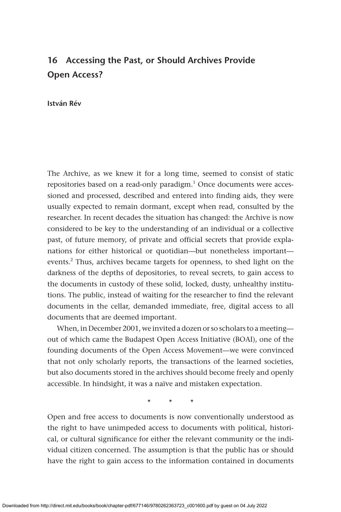# **16 Accessing the Past, or Should Archives Provide Open Access?**

### **István Rév**

The Archive, as we knew it for a long time, seemed to consist of static repositories based on a read-only paradigm.<sup>1</sup> Once documents were accessioned and processed, described and entered into finding aids, they were usually expected to remain dormant, except when read, consulted by the researcher. In recent decades the situation has changed: the Archive is now considered to be key to the understanding of an individual or a collective past, of future memory, of private and official secrets that provide explanations for either historical or quotidian—but nonetheless important events.<sup>2</sup> Thus, archives became targets for openness, to shed light on the darkness of the depths of depositories, to reveal secrets, to gain access to the documents in custody of these solid, locked, dusty, unhealthy institutions. The public, instead of waiting for the researcher to find the relevant documents in the cellar, demanded immediate, free, digital access to all documents that are deemed important.

When, in December 2001, we invited a dozen or so scholars to a meeting out of which came the Budapest Open Access Initiative (BOAI), one of the founding documents of the Open Access Movement—we were convinced that not only scholarly reports, the transactions of the learned societies, but also documents stored in the archives should become freely and openly accessible. In hindsight, it was a naïve and mistaken expectation.

\*\*\*

Open and free access to documents is now conventionally understood as the right to have unimpeded access to documents with political, historical, or cultural significance for either the relevant community or the individual citizen concerned. The assumption is that the public has or should have the right to gain access to the information contained in documents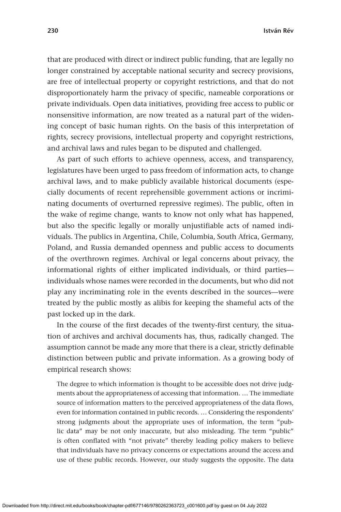that are produced with direct or indirect public funding, that are legally no longer constrained by acceptable national security and secrecy provisions, are free of intellectual property or copyright restrictions, and that do not disproportionately harm the privacy of specific, nameable corporations or private individuals. Open data initiatives, providing free access to public or nonsensitive information, are now treated as a natural part of the widening concept of basic human rights. On the basis of this interpretation of rights, secrecy provisions, intellectual property and copyright restrictions, and archival laws and rules began to be disputed and challenged.

As part of such efforts to achieve openness, access, and transparency, legislatures have been urged to pass freedom of information acts, to change archival laws, and to make publicly available historical documents (especially documents of recent reprehensible government actions or incriminating documents of overturned repressive regimes). The public, often in the wake of regime change, wants to know not only what has happened, but also the specific legally or morally unjustifiable acts of named individuals. The publics in Argentina, Chile, Columbia, South Africa, Germany, Poland, and Russia demanded openness and public access to documents of the overthrown regimes. Archival or legal concerns about privacy, the informational rights of either implicated individuals, or third parties individuals whose names were recorded in the documents, but who did not play any incriminating role in the events described in the sources—were treated by the public mostly as alibis for keeping the shameful acts of the past locked up in the dark.

In the course of the first decades of the twenty-first century, the situation of archives and archival documents has, thus, radically changed. The assumption cannot be made any more that there is a clear, strictly definable distinction between public and private information. As a growing body of empirical research shows:

The degree to which information is thought to be accessible does not drive judgments about the appropriateness of accessing that information. … The immediate source of information matters to the perceived appropriateness of the data flows, even for information contained in public records. … Considering the respondents' strong judgments about the appropriate uses of information, the term "public data" may be not only inaccurate, but also misleading. The term "public" is often conflated with "not private" thereby leading policy makers to believe that individuals have no privacy concerns or expectations around the access and use of these public records. However, our study suggests the opposite. The data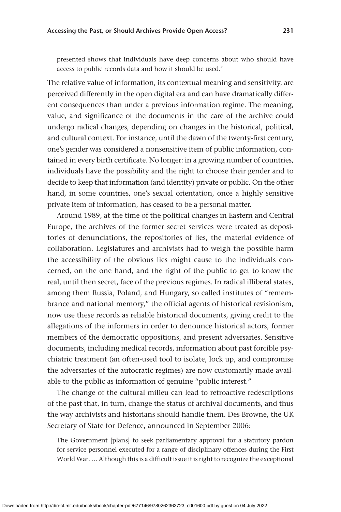presented shows that individuals have deep concerns about who should have access to public records data and how it should be used.<sup>3</sup>

The relative value of information, its contextual meaning and sensitivity, are perceived differently in the open digital era and can have dramatically different consequences than under a previous information regime. The meaning, value, and significance of the documents in the care of the archive could undergo radical changes, depending on changes in the historical, political, and cultural context. For instance, until the dawn of the twenty-first century, one's gender was considered a nonsensitive item of public information, contained in every birth certificate. No longer: in a growing number of countries, individuals have the possibility and the right to choose their gender and to decide to keep that information (and identity) private or public. On the other hand, in some countries, one's sexual orientation, once a highly sensitive private item of information, has ceased to be a personal matter.

Around 1989, at the time of the political changes in Eastern and Central Europe, the archives of the former secret services were treated as depositories of denunciations, the repositories of lies, the material evidence of collaboration. Legislatures and archivists had to weigh the possible harm the accessibility of the obvious lies might cause to the individuals concerned, on the one hand, and the right of the public to get to know the real, until then secret, face of the previous regimes. In radical illiberal states, among them Russia, Poland, and Hungary, so called institutes of "remembrance and national memory," the official agents of historical revisionism, now use these records as reliable historical documents, giving credit to the allegations of the informers in order to denounce historical actors, former members of the democratic oppositions, and present adversaries. Sensitive documents, including medical records, information about past forcible psychiatric treatment (an often-used tool to isolate, lock up, and compromise the adversaries of the autocratic regimes) are now customarily made available to the public as information of genuine "public interest."

The change of the cultural milieu can lead to retroactive redescriptions of the past that, in turn, change the status of archival documents, and thus the way archivists and historians should handle them. Des Browne, the UK Secretary of State for Defence, announced in September 2006:

The Government [plans] to seek parliamentary approval for a statutory pardon for service personnel executed for a range of disciplinary offences during the First World War. … Although this is a difficult issue it is right to recognize the exceptional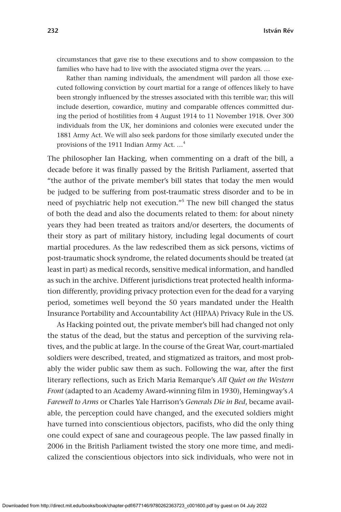circumstances that gave rise to these executions and to show compassion to the families who have had to live with the associated stigma over the years. …

Rather than naming individuals, the amendment will pardon all those executed following conviction by court martial for a range of offences likely to have been strongly influenced by the stresses associated with this terrible war; this will include desertion, cowardice, mutiny and comparable offences committed during the period of hostilities from 4 August 1914 to 11 November 1918. Over 300 individuals from the UK, her dominions and colonies were executed under the 1881 Army Act. We will also seek pardons for those similarly executed under the provisions of the 1911 Indian Army Act. …4

The philosopher Ian Hacking, when commenting on a draft of the bill, a decade before it was finally passed by the British Parliament, asserted that "the author of the private member's bill states that today the men would be judged to be suffering from post-traumatic stress disorder and to be in need of psychiatric help not execution."<sup>5</sup> The new bill changed the status of both the dead and also the documents related to them: for about ninety years they had been treated as traitors and/or deserters, the documents of their story as part of military history, including legal documents of court martial procedures. As the law redescribed them as sick persons, victims of post-traumatic shock syndrome, the related documents should be treated (at least in part) as medical records, sensitive medical information, and handled as such in the archive. Different jurisdictions treat protected health information differently, providing privacy protection even for the dead for a varying period, sometimes well beyond the 50 years mandated under the Health Insurance Portability and Accountability Act (HIPAA) Privacy Rule in the US.

As Hacking pointed out, the private member's bill had changed not only the status of the dead, but the status and perception of the surviving relatives, and the public at large. In the course of the Great War, court-martialed soldiers were described, treated, and stigmatized as traitors, and most probably the wider public saw them as such. Following the war, after the first literary reflections, such as Erich Maria Remarque's *All Quiet on the Western Front* (adapted to an Academy Award-winning film in 1930), Hemingway's *A Farewell to Arms* or Charles Yale Harrison's *Generals Die in Bed*, became available, the perception could have changed, and the executed soldiers might have turned into conscientious objectors, pacifists, who did the only thing one could expect of sane and courageous people. The law passed finally in 2006 in the British Parliament twisted the story one more time, and medicalized the conscientious objectors into sick individuals, who were not in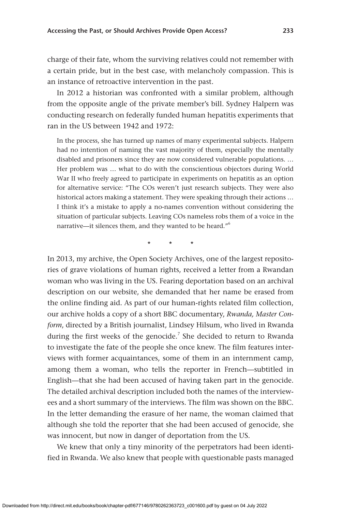charge of their fate, whom the surviving relatives could not remember with a certain pride, but in the best case, with melancholy compassion. This is an instance of retroactive intervention in the past.

In 2012 a historian was confronted with a similar problem, although from the opposite angle of the private member's bill. Sydney Halpern was conducting research on federally funded human hepatitis experiments that ran in the US between 1942 and 1972:

In the process, she has turned up names of many experimental subjects. Halpern had no intention of naming the vast majority of them, especially the mentally disabled and prisoners since they are now considered vulnerable populations. … Her problem was … what to do with the conscientious objectors during World War II who freely agreed to participate in experiments on hepatitis as an option for alternative service: "The COs weren't just research subjects. They were also historical actors making a statement. They were speaking through their actions … I think it's a mistake to apply a no-names convention without considering the situation of particular subjects. Leaving COs nameless robs them of a voice in the narrative—it silences them, and they wanted to be heard."<sup>6</sup>

\*\*\*

In 2013, my archive, the Open Society Archives, one of the largest repositories of grave violations of human rights, received a letter from a Rwandan woman who was living in the US. Fearing deportation based on an archival description on our website, she demanded that her name be erased from the online finding aid. As part of our human-rights related film collection, our archive holds a copy of a short BBC documentary, *Rwanda, Master Conform*, directed by a British journalist, Lindsey Hilsum, who lived in Rwanda during the first weeks of the genocide.<sup>7</sup> She decided to return to Rwanda to investigate the fate of the people she once knew. The film features interviews with former acquaintances, some of them in an internment camp, among them a woman, who tells the reporter in French—subtitled in English—that she had been accused of having taken part in the genocide. The detailed archival description included both the names of the interviewees and a short summary of the interviews. The film was shown on the BBC. In the letter demanding the erasure of her name, the woman claimed that although she told the reporter that she had been accused of genocide, she was innocent, but now in danger of deportation from the US.

We knew that only a tiny minority of the perpetrators had been identified in Rwanda. We also knew that people with questionable pasts managed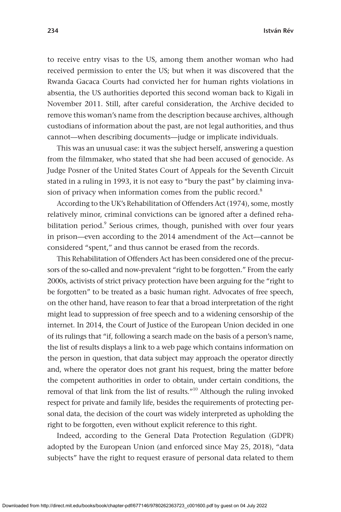to receive entry visas to the US, among them another woman who had received permission to enter the US; but when it was discovered that the Rwanda Gacaca Courts had convicted her for human rights violations in absentia, the US authorities deported this second woman back to Kigali in November 2011. Still, after careful consideration, the Archive decided to remove this woman's name from the description because archives, although custodians of information about the past, are not legal authorities, and thus cannot—when describing documents—judge or implicate individuals.

This was an unusual case: it was the subject herself, answering a question from the filmmaker, who stated that she had been accused of genocide. As Judge Posner of the United States Court of Appeals for the Seventh Circuit stated in a ruling in 1993, it is not easy to "bury the past" by claiming invasion of privacy when information comes from the public record.<sup>8</sup>

According to the UK's Rehabilitation of Offenders Act (1974), some, mostly relatively minor, criminal convictions can be ignored after a defined rehabilitation period.<sup>9</sup> Serious crimes, though, punished with over four years in prison—even according to the 2014 amendment of the Act—cannot be considered "spent," and thus cannot be erased from the records.

This Rehabilitation of Offenders Act has been considered one of the precursors of the so-called and now-prevalent "right to be forgotten." From the early 2000s, activists of strict privacy protection have been arguing for the "right to be forgotten" to be treated as a basic human right. Advocates of free speech, on the other hand, have reason to fear that a broad interpretation of the right might lead to suppression of free speech and to a widening censorship of the internet. In 2014, the Court of Justice of the European Union decided in one of its rulings that "if, following a search made on the basis of a person's name, the list of results displays a link to a web page which contains information on the person in question, that data subject may approach the operator directly and, where the operator does not grant his request, bring the matter before the competent authorities in order to obtain, under certain conditions, the removal of that link from the list of results."10 Although the ruling invoked respect for private and family life, besides the requirements of protecting personal data, the decision of the court was widely interpreted as upholding the right to be forgotten, even without explicit reference to this right.

Indeed, according to the General Data Protection Regulation (GDPR) adopted by the European Union (and enforced since May 25, 2018), "data subjects" have the right to request erasure of personal data related to them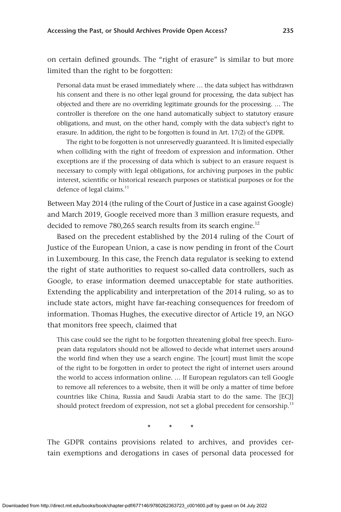on certain defined grounds. The "right of erasure" is similar to but more limited than the right to be forgotten:

Personal data must be erased immediately where … the data subject has withdrawn his consent and there is no other legal ground for processing, the data subject has objected and there are no overriding legitimate grounds for the processing. … The controller is therefore on the one hand automatically subject to statutory erasure obligations, and must, on the other hand, comply with the data subject's right to erasure. In addition, the right to be forgotten is found in Art. 17(2) of the GDPR.

The right to be forgotten is not unreservedly guaranteed. It is limited especially when colliding with the right of freedom of expression and information. Other exceptions are if the processing of data which is subject to an erasure request is necessary to comply with legal obligations, for archiving purposes in the public interest, scientific or historical research purposes or statistical purposes or for the defence of legal claims.<sup>11</sup>

Between May 2014 (the ruling of the Court of Justice in a case against Google) and March 2019, Google received more than 3 million erasure requests, and decided to remove 780,265 search results from its search engine.<sup>12</sup>

Based on the precedent established by the 2014 ruling of the Court of Justice of the European Union, a case is now pending in front of the Court in Luxembourg. In this case, the French data regulator is seeking to extend the right of state authorities to request so-called data controllers, such as Google, to erase information deemed unacceptable for state authorities. Extending the applicability and interpretation of the 2014 ruling, so as to include state actors, might have far-reaching consequences for freedom of information. Thomas Hughes, the executive director of Article 19, an NGO that monitors free speech, claimed that

This case could see the right to be forgotten threatening global free speech. European data regulators should not be allowed to decide what internet users around the world find when they use a search engine. The [court] must limit the scope of the right to be forgotten in order to protect the right of internet users around the world to access information online. … If European regulators can tell Google to remove all references to a website, then it will be only a matter of time before countries like China, Russia and Saudi Arabia start to do the same. The [ECJ] should protect freedom of expression, not set a global precedent for censorship.<sup>13</sup>

\*\*\*

The GDPR contains provisions related to archives, and provides certain exemptions and derogations in cases of personal data processed for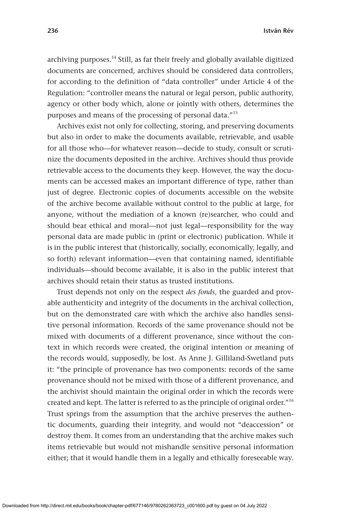archiving purposes. $14$  Still, as far their freely and globally available digitized documents are concerned, archives should be considered data controllers, for according to the definition of "data controller" under Article 4 of the Regulation: "controller means the natural or legal person, public authority, agency or other body which, alone or jointly with others, determines the purposes and means of the processing of personal data."15

Archives exist not only for collecting, storing, and preserving documents but also in order to make the documents available, retrievable, and usable for all those who—for whatever reason—decide to study, consult or scrutinize the documents deposited in the archive. Archives should thus provide retrievable access to the documents they keep. However, the way the documents can be accessed makes an important difference of type, rather than just of degree. Electronic copies of documents accessible on the website of the archive become available without control to the public at large, for anyone, without the mediation of a known (re)searcher, who could and should bear ethical and moral—not just legal—responsibility for the way personal data are made public in (print or electronic) publication. While it is in the public interest that (historically, socially, economically, legally, and so forth) relevant information—even that containing named, identifiable individuals—should become available, it is also in the public interest that archives should retain their status as trusted institutions.

Trust depends not only on the respect *des fonds*, the guarded and provable authenticity and integrity of the documents in the archival collection, but on the demonstrated care with which the archive also handles sensitive personal information. Records of the same provenance should not be mixed with documents of a different provenance, since without the context in which records were created, the original intention or meaning of the records would, supposedly, be lost. As Anne J. Gilliland-Swetland puts it: "the principle of provenance has two components: records of the same provenance should not be mixed with those of a different provenance, and the archivist should maintain the original order in which the records were created and kept. The latter is referred to as the principle of original order."16 Trust springs from the assumption that the archive preserves the authentic documents, guarding their integrity, and would not "deaccession" or destroy them. It comes from an understanding that the archive makes such items retrievable but would not mishandle sensitive personal information either; that it would handle them in a legally and ethically foreseeable way.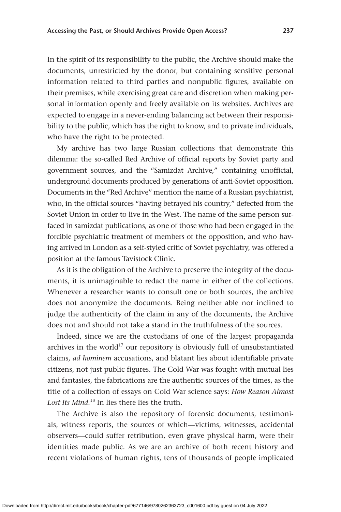In the spirit of its responsibility to the public, the Archive should make the documents, unrestricted by the donor, but containing sensitive personal information related to third parties and nonpublic figures, available on their premises, while exercising great care and discretion when making personal information openly and freely available on its websites. Archives are expected to engage in a never-ending balancing act between their responsibility to the public, which has the right to know, and to private individuals, who have the right to be protected.

My archive has two large Russian collections that demonstrate this dilemma: the so-called Red Archive of official reports by Soviet party and government sources, and the "Samizdat Archive," containing unofficial, underground documents produced by generations of anti-Soviet opposition. Documents in the "Red Archive" mention the name of a Russian psychiatrist, who, in the official sources "having betrayed his country," defected from the Soviet Union in order to live in the West. The name of the same person surfaced in samizdat publications, as one of those who had been engaged in the forcible psychiatric treatment of members of the opposition, and who having arrived in London as a self-styled critic of Soviet psychiatry, was offered a position at the famous Tavistock Clinic.

As it is the obligation of the Archive to preserve the integrity of the documents, it is unimaginable to redact the name in either of the collections. Whenever a researcher wants to consult one or both sources, the archive does not anonymize the documents. Being neither able nor inclined to judge the authenticity of the claim in any of the documents, the Archive does not and should not take a stand in the truthfulness of the sources.

Indeed, since we are the custodians of one of the largest propaganda archives in the world<sup>17</sup> our repository is obviously full of unsubstantiated claims, *ad hominem* accusations, and blatant lies about identifiable private citizens, not just public figures. The Cold War was fought with mutual lies and fantasies, the fabrications are the authentic sources of the times, as the title of a collection of essays on Cold War science says: *How Reason Almost Lost Its Mind*. 18 In lies there lies the truth.

The Archive is also the repository of forensic documents, testimonials, witness reports, the sources of which—victims, witnesses, accidental observers—could suffer retribution, even grave physical harm, were their identities made public. As we are an archive of both recent history and recent violations of human rights, tens of thousands of people implicated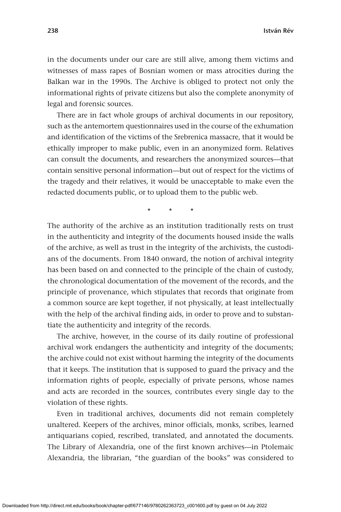in the documents under our care are still alive, among them victims and witnesses of mass rapes of Bosnian women or mass atrocities during the Balkan war in the 1990s. The Archive is obliged to protect not only the informational rights of private citizens but also the complete anonymity of legal and forensic sources.

There are in fact whole groups of archival documents in our repository, such as the antemortem questionnaires used in the course of the exhumation and identification of the victims of the Srebrenica massacre, that it would be ethically improper to make public, even in an anonymized form. Relatives can consult the documents, and researchers the anonymized sources—that contain sensitive personal information—but out of respect for the victims of the tragedy and their relatives, it would be unacceptable to make even the redacted documents public, or to upload them to the public web.

\*\*\*

The authority of the archive as an institution traditionally rests on trust in the authenticity and integrity of the documents housed inside the walls of the archive, as well as trust in the integrity of the archivists, the custodians of the documents. From 1840 onward, the notion of archival integrity has been based on and connected to the principle of the chain of custody, the chronological documentation of the movement of the records, and the principle of provenance, which stipulates that records that originate from a common source are kept together, if not physically, at least intellectually with the help of the archival finding aids, in order to prove and to substantiate the authenticity and integrity of the records.

The archive, however, in the course of its daily routine of professional archival work endangers the authenticity and integrity of the documents; the archive could not exist without harming the integrity of the documents that it keeps. The institution that is supposed to guard the privacy and the information rights of people, especially of private persons, whose names and acts are recorded in the sources, contributes every single day to the violation of these rights.

Even in traditional archives, documents did not remain completely unaltered. Keepers of the archives, minor officials, monks, scribes, learned antiquarians copied, rescribed, translated, and annotated the documents. The Library of Alexandria, one of the first known archives—in Ptolemaic Alexandria, the librarian, "the guardian of the books" was considered to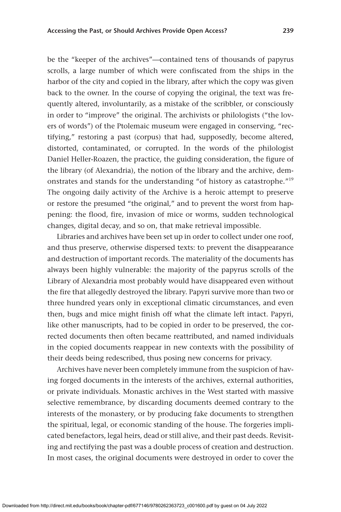be the "keeper of the archives"—contained tens of thousands of papyrus scrolls, a large number of which were confiscated from the ships in the harbor of the city and copied in the library, after which the copy was given back to the owner. In the course of copying the original, the text was frequently altered, involuntarily, as a mistake of the scribbler, or consciously in order to "improve" the original. The archivists or philologists ("the lovers of words") of the Ptolemaic museum were engaged in conserving, "rectifying," restoring a past (corpus) that had, supposedly, become altered, distorted, contaminated, or corrupted. In the words of the philologist Daniel Heller-Roazen, the practice, the guiding consideration, the figure of the library (of Alexandria), the notion of the library and the archive, demonstrates and stands for the understanding "of history as catastrophe."<sup>19</sup> The ongoing daily activity of the Archive is a heroic attempt to preserve or restore the presumed "the original," and to prevent the worst from happening: the flood, fire, invasion of mice or worms, sudden technological changes, digital decay, and so on, that make retrieval impossible.

Libraries and archives have been set up in order to collect under one roof, and thus preserve, otherwise dispersed texts: to prevent the disappearance and destruction of important records. The materiality of the documents has always been highly vulnerable: the majority of the papyrus scrolls of the Library of Alexandria most probably would have disappeared even without the fire that allegedly destroyed the library. Papyri survive more than two or three hundred years only in exceptional climatic circumstances, and even then, bugs and mice might finish off what the climate left intact. Papyri, like other manuscripts, had to be copied in order to be preserved, the corrected documents then often became reattributed, and named individuals in the copied documents reappear in new contexts with the possibility of their deeds being redescribed, thus posing new concerns for privacy.

Archives have never been completely immune from the suspicion of having forged documents in the interests of the archives, external authorities, or private individuals. Monastic archives in the West started with massive selective remembrance, by discarding documents deemed contrary to the interests of the monastery, or by producing fake documents to strengthen the spiritual, legal, or economic standing of the house. The forgeries implicated benefactors, legal heirs, dead or still alive, and their past deeds. Revisiting and rectifying the past was a double process of creation and destruction. In most cases, the original documents were destroyed in order to cover the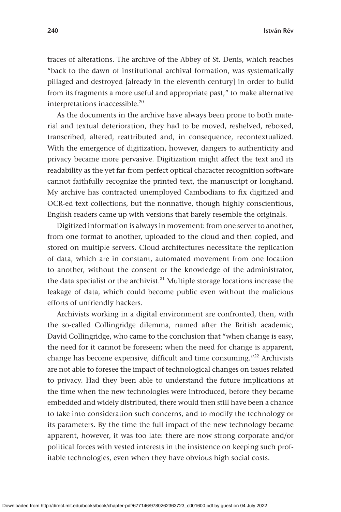traces of alterations. The archive of the Abbey of St. Denis, which reaches "back to the dawn of institutional archival formation, was systematically pillaged and destroyed [already in the eleventh century] in order to build from its fragments a more useful and appropriate past," to make alternative interpretations inaccessible. $20$ 

As the documents in the archive have always been prone to both material and textual deterioration, they had to be moved, reshelved, reboxed, transcribed, altered, reattributed and, in consequence, recontextualized. With the emergence of digitization, however, dangers to authenticity and privacy became more pervasive. Digitization might affect the text and its readability as the yet far-from-perfect optical character recognition software cannot faithfully recognize the printed text, the manuscript or longhand. My archive has contracted unemployed Cambodians to fix digitized and OCR-ed text collections, but the nonnative, though highly conscientious, English readers came up with versions that barely resemble the originals.

Digitized information is always in movement: from one server to another, from one format to another, uploaded to the cloud and then copied, and stored on multiple servers. Cloud architectures necessitate the replication of data, which are in constant, automated movement from one location to another, without the consent or the knowledge of the administrator, the data specialist or the archivist.<sup>21</sup> Multiple storage locations increase the leakage of data, which could become public even without the malicious efforts of unfriendly hackers.

Archivists working in a digital environment are confronted, then, with the so-called Collingridge dilemma, named after the British academic, David Collingridge, who came to the conclusion that "when change is easy, the need for it cannot be foreseen; when the need for change is apparent, change has become expensive, difficult and time consuming."<sup>22</sup> Archivists are not able to foresee the impact of technological changes on issues related to privacy. Had they been able to understand the future implications at the time when the new technologies were introduced, before they became embedded and widely distributed, there would then still have been a chance to take into consideration such concerns, and to modify the technology or its parameters. By the time the full impact of the new technology became apparent, however, it was too late: there are now strong corporate and/or political forces with vested interests in the insistence on keeping such profitable technologies, even when they have obvious high social costs.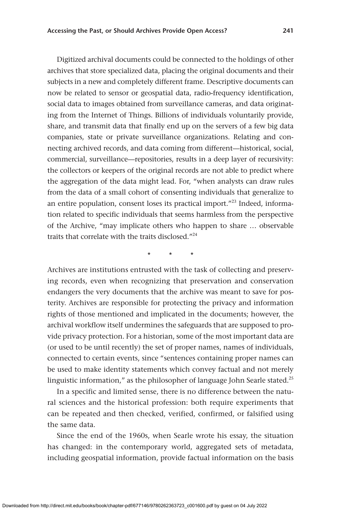Digitized archival documents could be connected to the holdings of other archives that store specialized data, placing the original documents and their subjects in a new and completely different frame. Descriptive documents can now be related to sensor or geospatial data, radio-frequency identification, social data to images obtained from surveillance cameras, and data originating from the Internet of Things. Billions of individuals voluntarily provide, share, and transmit data that finally end up on the servers of a few big data companies, state or private surveillance organizations. Relating and connecting archived records, and data coming from different—historical, social, commercial, surveillance—repositories, results in a deep layer of recursivity: the collectors or keepers of the original records are not able to predict where the aggregation of the data might lead. For, "when analysts can draw rules from the data of a small cohort of consenting individuals that generalize to an entire population, consent loses its practical import."<sup>23</sup> Indeed, information related to specific individuals that seems harmless from the perspective of the Archive, "may implicate others who happen to share … observable traits that correlate with the traits disclosed."24

\*\*\*

Archives are institutions entrusted with the task of collecting and preserving records, even when recognizing that preservation and conservation endangers the very documents that the archive was meant to save for posterity. Archives are responsible for protecting the privacy and information rights of those mentioned and implicated in the documents; however, the archival workflow itself undermines the safeguards that are supposed to provide privacy protection. For a historian, some of the most important data are (or used to be until recently) the set of proper names, names of individuals, connected to certain events, since "sentences containing proper names can be used to make identity statements which convey factual and not merely linguistic information," as the philosopher of language John Searle stated.<sup>25</sup>

In a specific and limited sense, there is no difference between the natural sciences and the historical profession: both require experiments that can be repeated and then checked, verified, confirmed, or falsified using the same data.

Since the end of the 1960s, when Searle wrote his essay, the situation has changed: in the contemporary world, aggregated sets of metadata, including geospatial information, provide factual information on the basis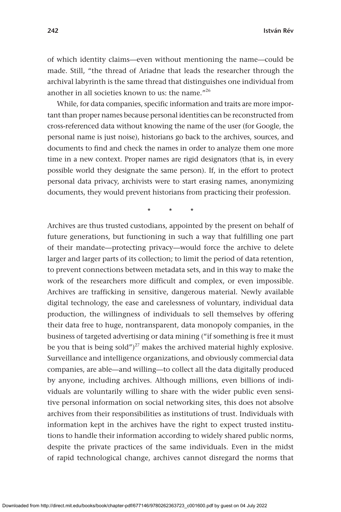of which identity claims—even without mentioning the name—could be made. Still, "the thread of Ariadne that leads the researcher through the archival labyrinth is the same thread that distinguishes one individual from another in all societies known to us: the name."<sup>26</sup>

While, for data companies, specific information and traits are more important than proper names because personal identities can be reconstructed from cross-referenced data without knowing the name of the user (for Google, the personal name is just noise), historians go back to the archives, sources, and documents to find and check the names in order to analyze them one more time in a new context. Proper names are rigid designators (that is, in every possible world they designate the same person). If, in the effort to protect personal data privacy, archivists were to start erasing names, anonymizing documents, they would prevent historians from practicing their profession.

\*\*\*

Archives are thus trusted custodians, appointed by the present on behalf of future generations, but functioning in such a way that fulfilling one part of their mandate—protecting privacy—would force the archive to delete larger and larger parts of its collection; to limit the period of data retention, to prevent connections between metadata sets, and in this way to make the work of the researchers more difficult and complex, or even impossible. Archives are trafficking in sensitive, dangerous material. Newly available digital technology, the ease and carelessness of voluntary, individual data production, the willingness of individuals to sell themselves by offering their data free to huge, nontransparent, data monopoly companies, in the business of targeted advertising or data mining ("if something is free it must be you that is being sold")<sup>27</sup> makes the archived material highly explosive. Surveillance and intelligence organizations, and obviously commercial data companies, are able—and willing—to collect all the data digitally produced by anyone, including archives. Although millions, even billions of individuals are voluntarily willing to share with the wider public even sensitive personal information on social networking sites, this does not absolve archives from their responsibilities as institutions of trust. Individuals with information kept in the archives have the right to expect trusted institutions to handle their information according to widely shared public norms, despite the private practices of the same individuals. Even in the midst of rapid technological change, archives cannot disregard the norms that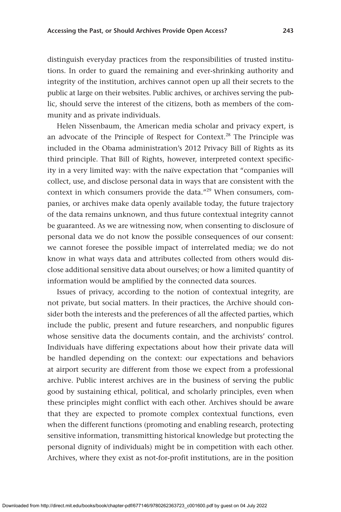distinguish everyday practices from the responsibilities of trusted institutions. In order to guard the remaining and ever-shrinking authority and integrity of the institution, archives cannot open up all their secrets to the public at large on their websites. Public archives, or archives serving the public, should serve the interest of the citizens, both as members of the community and as private individuals.

Helen Nissenbaum, the American media scholar and privacy expert, is an advocate of the Principle of Respect for Context.<sup>28</sup> The Principle was included in the Obama administration's 2012 Privacy Bill of Rights as its third principle. That Bill of Rights, however, interpreted context specificity in a very limited way: with the naïve expectation that "companies will collect, use, and disclose personal data in ways that are consistent with the context in which consumers provide the data."29 When consumers, companies, or archives make data openly available today, the future trajectory of the data remains unknown, and thus future contextual integrity cannot be guaranteed. As we are witnessing now, when consenting to disclosure of personal data we do not know the possible consequences of our consent: we cannot foresee the possible impact of interrelated media; we do not know in what ways data and attributes collected from others would disclose additional sensitive data about ourselves; or how a limited quantity of information would be amplified by the connected data sources.

Issues of privacy, according to the notion of contextual integrity, are not private, but social matters. In their practices, the Archive should consider both the interests and the preferences of all the affected parties, which include the public, present and future researchers, and nonpublic figures whose sensitive data the documents contain, and the archivists' control. Individuals have differing expectations about how their private data will be handled depending on the context: our expectations and behaviors at airport security are different from those we expect from a professional archive. Public interest archives are in the business of serving the public good by sustaining ethical, political, and scholarly principles, even when these principles might conflict with each other. Archives should be aware that they are expected to promote complex contextual functions, even when the different functions (promoting and enabling research, protecting sensitive information, transmitting historical knowledge but protecting the personal dignity of individuals) might be in competition with each other. Archives, where they exist as not-for-profit institutions, are in the position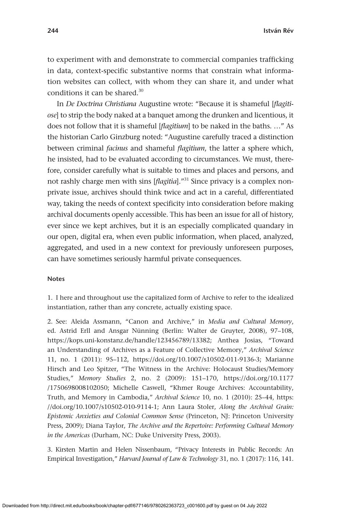to experiment with and demonstrate to commercial companies trafficking in data, context-specific substantive norms that constrain what information websites can collect, with whom they can share it, and under what conditions it can be shared.30

In *De Doctrina Christiana* Augustine wrote: "Because it is shameful [*flagitiose*] to strip the body naked at a banquet among the drunken and licentious, it does not follow that it is shameful [*flagitium*] to be naked in the baths. …" As the historian Carlo Ginzburg noted: "Augustine carefully traced a distinction between criminal *facinus* and shameful *flagitium*, the latter a sphere which, he insisted, had to be evaluated according to circumstances. We must, therefore, consider carefully what is suitable to times and places and persons, and not rashly charge men with sins [*flagitia*]."31 Since privacy is a complex nonprivate issue, archives should think twice and act in a careful, differentiated way, taking the needs of context specificity into consideration before making archival documents openly accessible. This has been an issue for all of history, ever since we kept archives, but it is an especially complicated quandary in our open, digital era, when even public information, when placed, analyzed, aggregated, and used in a new context for previously unforeseen purposes, can have sometimes seriously harmful private consequences.

#### **Notes**

1. I here and throughout use the capitalized form of Archive to refer to the idealized instantiation, rather than any concrete, actually existing space.

2. See: Aleida Assmann, "Canon and Archive," in *Media and Cultural Memory*, ed. Astrid Erll and Ansgar Nünning (Berlin: Walter de Gruyter, 2008), 97–108, <https://kops.uni-konstanz.de/handle/123456789/13382>; Anthea Josias, "Toward an Understanding of Archives as a Feature of Collective Memory," *Archival Science* 11, no. 1 (2011): 95–112, [https://doi.org/10.1007/s10502-011-9136-3;](https://doi.org/10.1007/s10502-011-9136-3) Marianne Hirsch and Leo Spitzer, "The Witness in the Archive: Holocaust Studies/Memory Studies," *Memory Studies* 2, no. 2 (2009): 151–170, [https://doi.org/10.1177](https://doi.org/10.1177/1750698008102050) [/1750698008102050](https://doi.org/10.1177/1750698008102050); Michelle Caswell, "Khmer Rouge Archives: Accountability, Truth, and Memory in Cambodia," *Archival Science* 10, no. 1 (2010): 25–44, [https:](https://doi.org/10.1007/s10502-010-9114-1) [//doi.org/10.1007/s10502-010-9114-1](https://doi.org/10.1007/s10502-010-9114-1); Ann Laura Stoler, *Along the Archival Grain: Epistemic Anxieties and Colonial Common Sense* (Princeton, NJ: Princeton University Press, 2009); Diana Taylor, *The Archive and the Repertoire: Performing Cultural Memory in the Americas* (Durham, NC: Duke University Press, 2003).

3. Kirsten Martin and Helen Nissenbaum, "Privacy Interests in Public Records: An Empirical Investigation," *Harvard Journal of Law & Technology* 31, no. 1 (2017): 116, 141.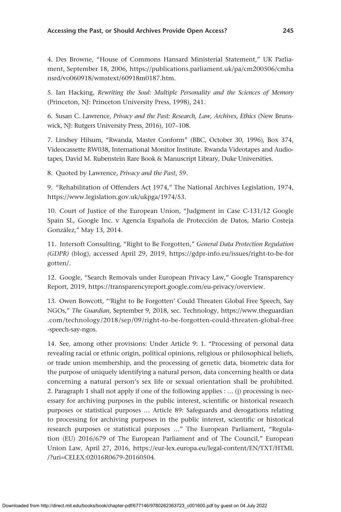4. Des Browne, "House of Commons Hansard Ministerial Statement," UK Parliament, September 18, 2006, [https://publications.parliament.uk/pa/cm200506/cmha](https://publications.parliament.uk/pa/cm200506/cmhansrd/vo060918/wmstext/60918m0187.htm) [nsrd/vo060918/wmstext/60918m0187.htm.](https://publications.parliament.uk/pa/cm200506/cmhansrd/vo060918/wmstext/60918m0187.htm)

5. Ian Hacking, *Rewriting the Soul: Multiple Personality and the Sciences of Memory* (Princeton, NJ: Princeton University Press, 1998), 241.

6. Susan C. Lawrence, *Privacy and the Past: Research, Law, Archives, Ethics* (New Brunswick, NJ: Rutgers University Press, 2016), 107–108.

7. Lindsey Hilsum, "Rwanda, Master Conform" (BBC, October 30, 1996), Box 374, Videocassette RW038, International Monitor Institute. Rwanda Videotapes and Audiotapes, David M. Rubenstein Rare Book & Manuscript Library, Duke Universities.

8. Quoted by Lawrence, *Privacy and the Past*, 59.

9. "Rehabilitation of Offenders Act 1974," The National Archives Legislation, 1974, [https://www.legislation.gov.uk/ukpga/1974/53.](https://www.legislation.gov.uk/ukpga/1974/53)

10. Court of Justice of the European Union, "Judgment in Case C-131/12 Google Spain SL, Google Inc. v Agencia Española de Protección de Datos, Mario Costeja González," May 13, 2014.

11. Intersoft Consulting, "Right to Be Forgotten," *General Data Protection Regulation (GDPR)* (blog), accessed April 29, 2019, [https://gdpr-info.eu/issues/right-to-be-for](https://gdpr-info.eu/issues/right-to-be-forgotten/) [gotten/.](https://gdpr-info.eu/issues/right-to-be-forgotten/)

12. Google, "Search Removals under European Privacy Law," Google Transparency Report, 2019, [https://transparencyreport.google.com/eu-privacy/overview.](https://transparencyreport.google.com/eu-privacy/overview)

13. Owen Bowcott, "'Right to Be Forgotten' Could Threaten Global Free Speech, Say NGOs," *The Guardian*, September 9, 2018, sec. Technology, [https://www.theguardian](https://www.theguardian.com/technology/2018/sep/09/right-to-be-forgotten-could-threaten-global-free-speech-say-ngos) [.com/technology/2018/sep/09/right-to-be-forgotten-could-threaten-global-free](https://www.theguardian.com/technology/2018/sep/09/right-to-be-forgotten-could-threaten-global-free-speech-say-ngos) [-speech-say-ngos.](https://www.theguardian.com/technology/2018/sep/09/right-to-be-forgotten-could-threaten-global-free-speech-say-ngos)

14. See, among other provisions: Under Article 9: 1. "Processing of personal data revealing racial or ethnic origin, political opinions, religious or philosophical beliefs, or trade union membership, and the processing of genetic data, biometric data for the purpose of uniquely identifying a natural person, data concerning health or data concerning a natural person's sex life or sexual orientation shall be prohibited. 2. Paragraph 1 shall not apply if one of the following applies : … (j) processing is necessary for archiving purposes in the public interest, scientific or historical research purposes or statistical purposes … Article 89: Safeguards and derogations relating to processing for archiving purposes in the public interest, scientific or historical research purposes or statistical purposes …" The European Parliament, "Regulation (EU) 2016/679 of The European Parliament and of The Council," European Union Law, April 27, 2016, [https://eur-lex.europa.eu/legal-content/EN/TXT/HTML](https://eur-lex.europa.eu/legal-content/EN/TXT/HTML/?uri=CELEX:02016R0679-20160504) /?uri=[CELEX:02016R0679-20160504](https://eur-lex.europa.eu/legal-content/EN/TXT/HTML/?uri=CELEX:02016R0679-20160504).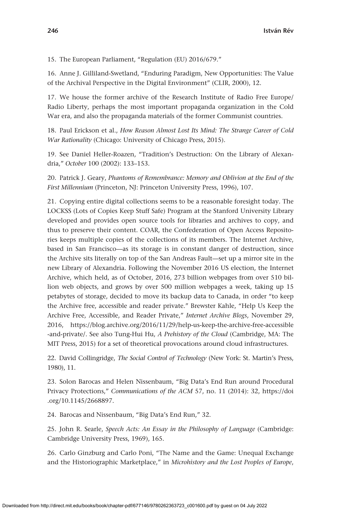15. The European Parliament, "Regulation (EU) 2016/679."

16. Anne J. Gilliland-Swetland, "Enduring Paradigm, New Opportunities: The Value of the Archival Perspective in the Digital Environment" (CLIR, 2000), 12.

17. We house the former archive of the Research Institute of Radio Free Europe/ Radio Liberty, perhaps the most important propaganda organization in the Cold War era, and also the propaganda materials of the former Communist countries.

18. Paul Erickson et al., *How Reason Almost Lost Its Mind: The Strange Career of Cold War Rationality* (Chicago: University of Chicago Press, 2015).

19. See Daniel Heller-Roazen, "Tradition's Destruction: On the Library of Alexandria," *October* 100 (2002): 133–153.

20. Patrick J. Geary, *Phantoms of Remembrance: Memory and Oblivion at the End of the First Millennium* (Princeton, NJ: Princeton University Press, 1996), 107.

21. Copying entire digital collections seems to be a reasonable foresight today. The LOCKSS (Lots of Copies Keep Stuff Safe) Program at the Stanford University Library developed and provides open source tools for libraries and archives to copy, and thus to preserve their content. COAR, the Confederation of Open Access Repositories keeps multiple copies of the collections of its members. The Internet Archive, based in San Francisco—as its storage is in constant danger of destruction, since the Archive sits literally on top of the San Andreas Fault—set up a mirror site in the new Library of Alexandria. Following the November 2016 US election, the Internet Archive, which held, as of October, 2016, 273 billion webpages from over 510 billion web objects, and grows by over 500 million webpages a week, taking up 15 petabytes of storage, decided to move its backup data to Canada, in order "to keep the Archive free, accessible and reader private." Brewster Kahle, "Help Us Keep the Archive Free, Accessible, and Reader Private," *Internet Archive Blogs*, November 29, 2016, [https://blog.archive.org/2016/11/29/help-us-keep-the-archive-free-accessible](https://blog.archive.org/2016/11/29/help-us-keep-the-archive-free-accessible-and-private/) [-and-private/](https://blog.archive.org/2016/11/29/help-us-keep-the-archive-free-accessible-and-private/). See also Tung-Hui Hu, *A Prehistory of the Cloud* (Cambridge, MA: The MIT Press, 2015) for a set of theoretical provocations around cloud infrastructures.

22. David Collingridge, *The Social Control of Technology* (New York: St. Martin's Press, 1980), 11.

23. Solon Barocas and Helen Nissenbaum, "Big Data's End Run around Procedural Privacy Protections," *Communications of the ACM* 57, no. 11 (2014): 32, [https://doi](https://doi.org/10.1145/2668897) [.org/10.1145/2668897](https://doi.org/10.1145/2668897).

24. Barocas and Nissenbaum, "Big Data's End Run," 32.

25. John R. Searle, *Speech Acts: An Essay in the Philosophy of Language* (Cambridge: Cambridge University Press, 1969), 165.

26. Carlo Ginzburg and Carlo Poni, "The Name and the Game: Unequal Exchange and the Historiographic Marketplace," in *Microhistory and the Lost Peoples of Europe*,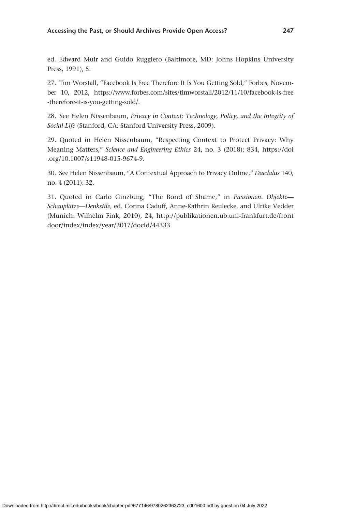ed. Edward Muir and Guido Ruggiero (Baltimore, MD: Johns Hopkins University Press, 1991), 5.

27. Tim Worstall, "Facebook Is Free Therefore It Is You Getting Sold," Forbes, November 10, 2012, [https://www.forbes.com/sites/timworstall/2012/11/10/facebook-is-free](https://www.forbes.com/sites/timworstall/2012/11/10/facebook-is-free-therefore-it-is-you-getting-sold/) [-therefore-it-is-you-getting-sold/](https://www.forbes.com/sites/timworstall/2012/11/10/facebook-is-free-therefore-it-is-you-getting-sold/).

28. See Helen Nissenbaum, *Privacy in Context: Technology, Policy, and the Integrity of Social Life* (Stanford, CA: Stanford University Press, 2009).

29. Quoted in Helen Nissenbaum, "Respecting Context to Protect Privacy: Why Meaning Matters," *Science and Engineering Ethics* 24, no. 3 (2018): 834, [https://doi](https://doi.org/10.1007/s11948-015-9674-9) [.org/10.1007/s11948-015-9674-9.](https://doi.org/10.1007/s11948-015-9674-9)

30. See Helen Nissenbaum, "A Contextual Approach to Privacy Online," *Daedalus* 140, no. 4 (2011): 32.

31. Quoted in Carlo Ginzburg, "The Bond of Shame," in *Passionen. Objekte— Schauplätze—Denkstile*, ed. Corina Caduff, Anne-Kathrin Reulecke, and Ulrike Vedder (Munich: Wilhelm Fink, 2010), 24, [http://publikationen.ub.uni-frankfurt.de/front](http://publikationen.ub.uni-frankfurt.de/frontdoor/index/index/year/2017/docId/44333) [door/index/index/year/2017/docId/44333.](http://publikationen.ub.uni-frankfurt.de/frontdoor/index/index/year/2017/docId/44333)